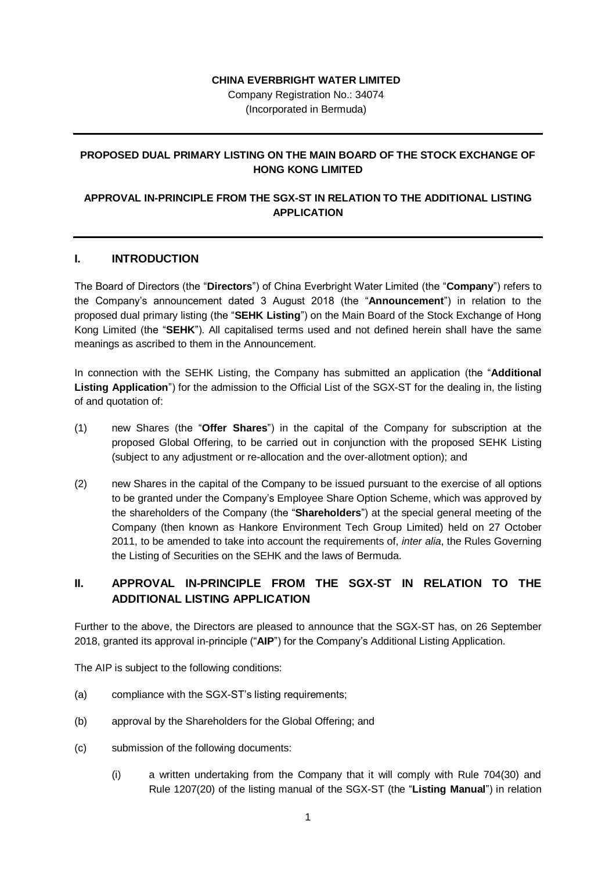## **CHINA EVERBRIGHT WATER LIMITED**

Company Registration No.: 34074 (Incorporated in Bermuda)

## **PROPOSED DUAL PRIMARY LISTING ON THE MAIN BOARD OF THE STOCK EXCHANGE OF HONG KONG LIMITED**

## **APPROVAL IN-PRINCIPLE FROM THE SGX-ST IN RELATION TO THE ADDITIONAL LISTING APPLICATION**

#### **I. INTRODUCTION**

The Board of Directors (the "**Directors**") of China Everbright Water Limited (the "**Company**") refers to the Company's announcement dated 3 August 2018 (the "**Announcement**") in relation to the proposed dual primary listing (the "**SEHK Listing**") on the Main Board of the Stock Exchange of Hong Kong Limited (the "**SEHK**"). All capitalised terms used and not defined herein shall have the same meanings as ascribed to them in the Announcement.

In connection with the SEHK Listing, the Company has submitted an application (the "**Additional Listing Application**") for the admission to the Official List of the SGX-ST for the dealing in, the listing of and quotation of:

- (1) new Shares (the "**Offer Shares**") in the capital of the Company for subscription at the proposed Global Offering, to be carried out in conjunction with the proposed SEHK Listing (subject to any adjustment or re-allocation and the over-allotment option); and
- (2) new Shares in the capital of the Company to be issued pursuant to the exercise of all options to be granted under the Company's Employee Share Option Scheme, which was approved by the shareholders of the Company (the "**Shareholders**") at the special general meeting of the Company (then known as Hankore Environment Tech Group Limited) held on 27 October 2011, to be amended to take into account the requirements of, *inter alia*, the Rules Governing the Listing of Securities on the SEHK and the laws of Bermuda.

# **II. APPROVAL IN-PRINCIPLE FROM THE SGX-ST IN RELATION TO THE ADDITIONAL LISTING APPLICATION**

Further to the above, the Directors are pleased to announce that the SGX-ST has, on 26 September 2018, granted its approval in-principle ("**AIP**") for the Company's Additional Listing Application.

The AIP is subject to the following conditions:

- (a) compliance with the SGX-ST's listing requirements;
- (b) approval by the Shareholders for the Global Offering; and
- (c) submission of the following documents:
	- (i) a written undertaking from the Company that it will comply with Rule 704(30) and Rule 1207(20) of the listing manual of the SGX-ST (the "**Listing Manual**") in relation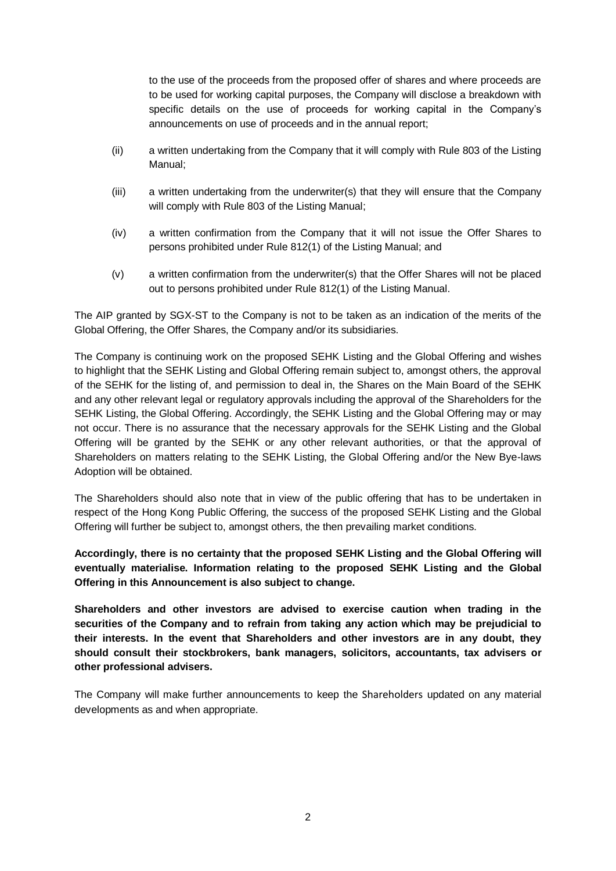to the use of the proceeds from the proposed offer of shares and where proceeds are to be used for working capital purposes, the Company will disclose a breakdown with specific details on the use of proceeds for working capital in the Company's announcements on use of proceeds and in the annual report;

- (ii) a written undertaking from the Company that it will comply with Rule 803 of the Listing Manual;
- (iii) a written undertaking from the underwriter(s) that they will ensure that the Company will comply with Rule 803 of the Listing Manual:
- (iv) a written confirmation from the Company that it will not issue the Offer Shares to persons prohibited under Rule 812(1) of the Listing Manual; and
- (v) a written confirmation from the underwriter(s) that the Offer Shares will not be placed out to persons prohibited under Rule 812(1) of the Listing Manual.

The AIP granted by SGX-ST to the Company is not to be taken as an indication of the merits of the Global Offering, the Offer Shares, the Company and/or its subsidiaries.

The Company is continuing work on the proposed SEHK Listing and the Global Offering and wishes to highlight that the SEHK Listing and Global Offering remain subject to, amongst others, the approval of the SEHK for the listing of, and permission to deal in, the Shares on the Main Board of the SEHK and any other relevant legal or regulatory approvals including the approval of the Shareholders for the SEHK Listing, the Global Offering. Accordingly, the SEHK Listing and the Global Offering may or may not occur. There is no assurance that the necessary approvals for the SEHK Listing and the Global Offering will be granted by the SEHK or any other relevant authorities, or that the approval of Shareholders on matters relating to the SEHK Listing, the Global Offering and/or the New Bye-laws Adoption will be obtained.

The Shareholders should also note that in view of the public offering that has to be undertaken in respect of the Hong Kong Public Offering, the success of the proposed SEHK Listing and the Global Offering will further be subject to, amongst others, the then prevailing market conditions.

**Accordingly, there is no certainty that the proposed SEHK Listing and the Global Offering will eventually materialise. Information relating to the proposed SEHK Listing and the Global Offering in this Announcement is also subject to change.** 

**Shareholders and other investors are advised to exercise caution when trading in the securities of the Company and to refrain from taking any action which may be prejudicial to their interests. In the event that Shareholders and other investors are in any doubt, they should consult their stockbrokers, bank managers, solicitors, accountants, tax advisers or other professional advisers.**

The Company will make further announcements to keep the Shareholders updated on any material developments as and when appropriate.